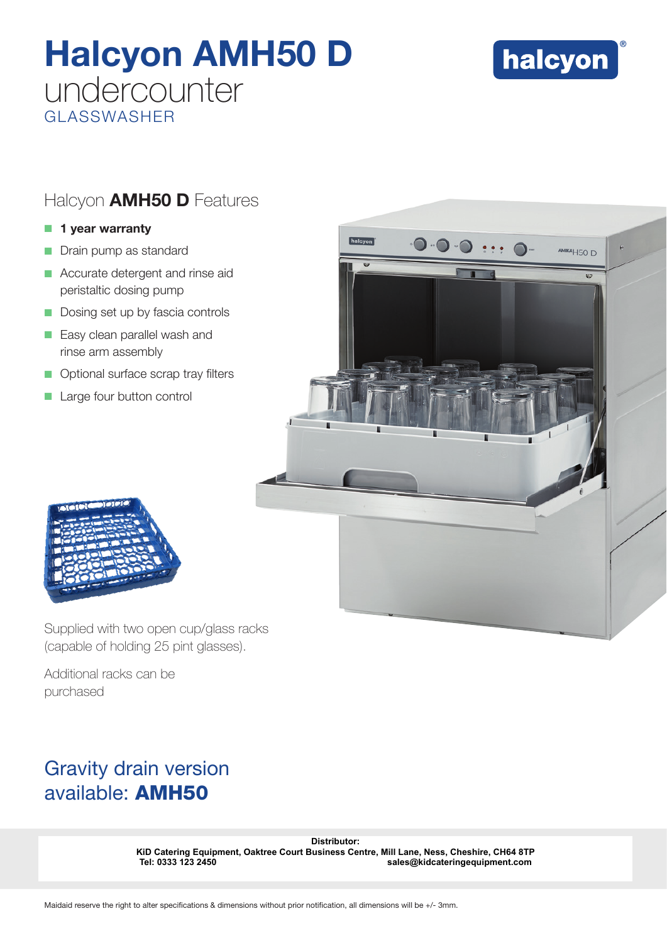# Halcyon AMH50 D undercounter GLASSWASHER



## Halcyon **AMH50 D** Features

### $\blacksquare$  1 year warranty

- Drain pump as standard
- $\blacksquare$  Accurate detergent and rinse aid peristaltic dosing pump
- Dosing set up by fascia controls
- **Easy clean parallel wash and** rinse arm assembly
- **Optional surface scrap tray filters**
- Large four button control





Supplied with two open cup/glass racks (capable of holding 25 pint glasses).

Additional racks can be purchased

# Gravity drain version available: AMH50

Distributor:<br> **KiD Catering Equipment, Oaktree Court Business Centre, Mill Lane, Ness, Cl<br>
Tel: 0333 123 2450<br>
Maidaid reserve the right to alter specifications & dimensions without prior notification, all dimensions will KiD Catering Equipment, Oaktree Court Business Centre, Mill Lane, Ness, Cheshire, CH64 8TP Tel: 0333 123 2450 sales@kidcateringequipment.com**